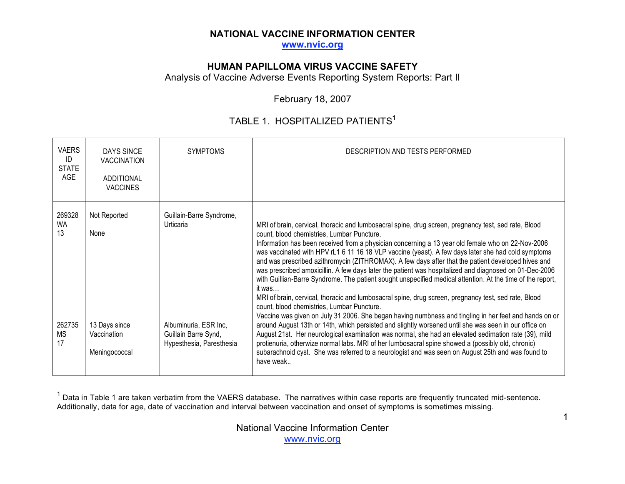**www.nvic.org**

### **HUMAN PAPILLOMA VIRUS VACCINE SAFETY**

Analysis of Vaccine Adverse Events Reporting System Reports: Part II

February 18, 2007

# TABLE 1. HOSPITALIZED PATIENTS**<sup>1</sup>**

| <b>VAERS</b><br>ID<br><b>STATE</b><br>AGE | DAYS SINCE<br><b>VACCINATION</b><br>ADDITIONAL<br><b>VACCINES</b> | <b>SYMPTOMS</b>                                                           | DESCRIPTION AND TESTS PERFORMED                                                                                                                                                                                                                                                                                                                                                                                                                                                                                                                                                                                                                                                                                                                                                                                                                                                                                                                                                                                                                                                                                                                                                                                                                                                                                                                                                                              |
|-------------------------------------------|-------------------------------------------------------------------|---------------------------------------------------------------------------|--------------------------------------------------------------------------------------------------------------------------------------------------------------------------------------------------------------------------------------------------------------------------------------------------------------------------------------------------------------------------------------------------------------------------------------------------------------------------------------------------------------------------------------------------------------------------------------------------------------------------------------------------------------------------------------------------------------------------------------------------------------------------------------------------------------------------------------------------------------------------------------------------------------------------------------------------------------------------------------------------------------------------------------------------------------------------------------------------------------------------------------------------------------------------------------------------------------------------------------------------------------------------------------------------------------------------------------------------------------------------------------------------------------|
| 269328<br><b>WA</b><br>13                 | Not Reported<br>None                                              | Guillain-Barre Syndrome,<br>Urticaria                                     | MRI of brain, cervical, thoracic and lumbosacral spine, drug screen, pregnancy test, sed rate, Blood<br>count, blood chemistries, Lumbar Puncture.<br>Information has been received from a physician concerning a 13 year old female who on 22-Nov-2006<br>was vaccinated with HPV rL1 6 11 16 18 VLP vaccine (yeast). A few days later she had cold symptoms<br>and was prescribed azithromycin (ZITHROMAX). A few days after that the patient developed hives and<br>was prescribed amoxicillin. A few days later the patient was hospitalized and diagnosed on 01-Dec-2006<br>with Guillian-Barre Syndrome. The patient sought unspecified medical attention. At the time of the report,<br>it was<br>MRI of brain, cervical, thoracic and lumbosacral spine, drug screen, pregnancy test, sed rate, Blood<br>count, blood chemistries, Lumbar Puncture.<br>Vaccine was given on July 31 2006. She began having numbness and tingling in her feet and hands on or<br>around August 13th or 14th, which persisted and slightly worsened until she was seen in our office on<br>August 21st. Her neurological examination was normal, she had an elevated sedimation rate (39), mild<br>protienuria, otherwize normal labs. MRI of her lumbosacral spine showed a (possibly old, chronic)<br>subarachnoid cyst. She was referred to a neurologist and was seen on August 25th and was found to<br>have weak |
| 262735<br>MS<br>17                        | 13 Days since<br>Vaccination<br>Meningococcal                     | Albuminuria, ESR Inc,<br>Guillain Barre Synd,<br>Hypesthesia, Paresthesia |                                                                                                                                                                                                                                                                                                                                                                                                                                                                                                                                                                                                                                                                                                                                                                                                                                                                                                                                                                                                                                                                                                                                                                                                                                                                                                                                                                                                              |

 $1$  Data in Table 1 are taken verbatim from the VAERS database. The narratives within case reports are frequently truncated mid-sentence. Additionally, data for age, date of vaccination and interval between vaccination and onset of symptoms is sometimes missing.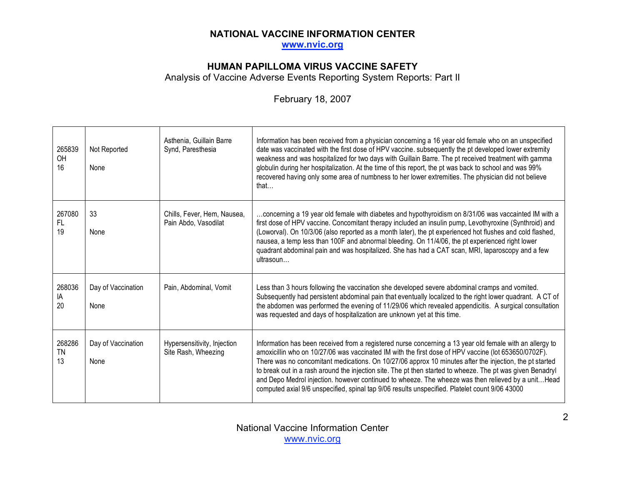**www.nvic.org**

### **HUMAN PAPILLOMA VIRUS VACCINE SAFETY**

Analysis of Vaccine Adverse Events Reporting System Reports: Part II

# February 18, 2007

| 265839<br>OH<br>16        | Not Reported<br>None       | Asthenia, Guillain Barre<br>Synd, Paresthesia       | Information has been received from a physician concerning a 16 year old female who on an unspecified<br>date was vaccinated with the first dose of HPV vaccine. subsequently the pt developed lower extremity<br>weakness and was hospitalized for two days with Guillain Barre. The pt received treatment with gamma<br>globulin during her hospitalization. At the time of this report, the pt was back to school and was 99%<br>recovered having only some area of numbness to her lower extremities. The physician did not believe<br>that                                                                                                     |
|---------------------------|----------------------------|-----------------------------------------------------|----------------------------------------------------------------------------------------------------------------------------------------------------------------------------------------------------------------------------------------------------------------------------------------------------------------------------------------------------------------------------------------------------------------------------------------------------------------------------------------------------------------------------------------------------------------------------------------------------------------------------------------------------|
| 267080<br>FL.<br>19       | 33<br>None                 | Chills, Fever, Hem, Nausea,<br>Pain Abdo, Vasodilat | concerning a 19 year old female with diabetes and hypothyroidism on 8/31/06 was vaccainted IM with a<br>first dose of HPV vaccine. Concomitant therapy included an insulin pump, Levothyroxine (Synthroid) and<br>(Loworval). On 10/3/06 (also reported as a month later), the pt experienced hot flushes and cold flashed,<br>nausea, a temp less than 100F and abnormal bleeding. On 11/4/06, the pt experienced right lower<br>quadrant abdominal pain and was hospitalized. She has had a CAT scan, MRI, laparoscopy and a few<br>ultrasoun                                                                                                    |
| 268036<br>IA<br>20        | Day of Vaccination<br>None | Pain, Abdominal, Vomit                              | Less than 3 hours following the vaccination she developed severe abdominal cramps and vomited.<br>Subsequently had persistent abdominal pain that eventually localized to the right lower quadrant. A CT of<br>the abdomen was performed the evening of 11/29/06 which revealed appendicitis. A surgical consultation<br>was requested and days of hospitalization are unknown yet at this time.                                                                                                                                                                                                                                                   |
| 268286<br><b>TN</b><br>13 | Day of Vaccination<br>None | Hypersensitivity, Injection<br>Site Rash, Wheezing  | Information has been received from a registered nurse concerning a 13 year old female with an allergy to<br>amoxicillin who on 10/27/06 was vaccinated IM with the first dose of HPV vaccine (lot 653650/0702F).<br>There was no concomitant medications. On 10/27/06 approx 10 minutes after the injection, the pt started<br>to break out in a rash around the injection site. The pt then started to wheeze. The pt was given Benadryl<br>and Depo Medrol injection. however continued to wheeze. The wheeze was then relieved by a unit Head<br>computed axial 9/6 unspecified, spinal tap 9/06 results unspecified. Platelet count 9/06 43000 |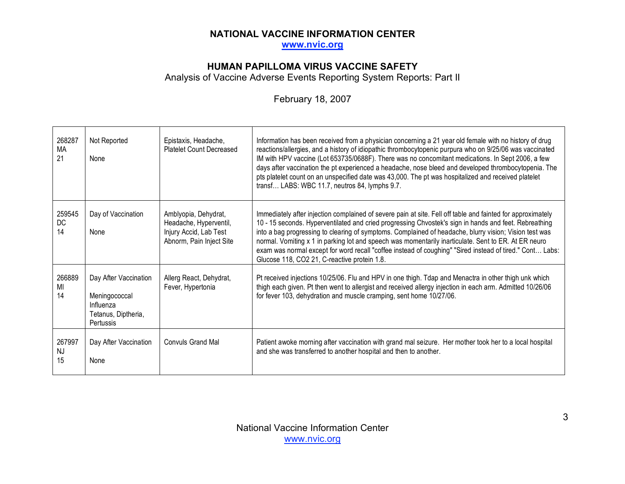**www.nvic.org**

### **HUMAN PAPILLOMA VIRUS VACCINE SAFETY**

Analysis of Vaccine Adverse Events Reporting System Reports: Part II

# February 18, 2007

| 268287<br>MA<br>21        | Not Reported<br>None                                                                    | Epistaxis, Headache,<br><b>Platelet Count Decreased</b>                                              | Information has been received from a physician concerning a 21 year old female with no history of drug<br>reactions/allergies, and a history of idiopathic thrombocytopenic purpura who on 9/25/06 was vaccinated<br>IM with HPV vaccine (Lot 653735/0688F). There was no concomitant medications. In Sept 2006, a few<br>days after vaccination the pt experienced a headache, nose bleed and developed thrombocytopenia. The<br>pts platelet count on an unspecified date was 43,000. The pt was hospitalized and received platelet<br>transf LABS: WBC 11.7, neutros 84, lymphs 9.7.            |
|---------------------------|-----------------------------------------------------------------------------------------|------------------------------------------------------------------------------------------------------|----------------------------------------------------------------------------------------------------------------------------------------------------------------------------------------------------------------------------------------------------------------------------------------------------------------------------------------------------------------------------------------------------------------------------------------------------------------------------------------------------------------------------------------------------------------------------------------------------|
| 259545<br>DC<br>14        | Day of Vaccination<br>None                                                              | Amblyopia, Dehydrat,<br>Headache, Hyperventil,<br>Injury Accid, Lab Test<br>Abnorm, Pain Inject Site | Immediately after injection complained of severe pain at site. Fell off table and fainted for approximately<br>10 - 15 seconds. Hyperventilated and cried progressing Chvostek's sign in hands and feet. Rebreathing<br>into a bag progressing to clearing of symptoms. Complained of headache, blurry vision; Vision test was<br>normal. Vomiting x 1 in parking lot and speech was momentarily inarticulate. Sent to ER. At ER neuro<br>exam was normal except for word recall "coffee instead of coughing" "Sired instead of tired." Cont Labs:<br>Glucose 118, CO2 21, C-reactive protein 1.8. |
| 266889<br>MI<br>14        | Day After Vaccination<br>Meningococcal<br>Influenza<br>Tetanus, Diptheria,<br>Pertussis | Allerg React, Dehydrat,<br>Fever, Hypertonia                                                         | Pt received injections 10/25/06. Flu and HPV in one thigh. Tdap and Menactra in other thigh unk which<br>thigh each given. Pt then went to allergist and received allergy injection in each arm. Admitted 10/26/06<br>for fever 103, dehydration and muscle cramping, sent home 10/27/06.                                                                                                                                                                                                                                                                                                          |
| 267997<br><b>NJ</b><br>15 | Day After Vaccination<br>None                                                           | <b>Convuls Grand Mal</b>                                                                             | Patient awoke morning after vaccination with grand mal seizure. Her mother took her to a local hospital<br>and she was transferred to another hospital and then to another.                                                                                                                                                                                                                                                                                                                                                                                                                        |